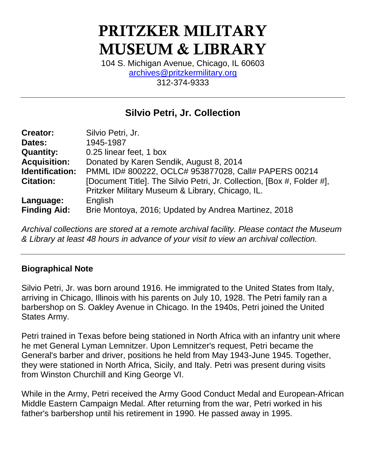# PRITZKER MILITARY MUSEUM & LIBRARY

104 S. Michigan Avenue, Chicago, IL 60603 [archives@pritzkermilitary.org](mailto:archives@pritzkermilitary.org) 312-374-9333

# **Silvio Petri, Jr. Collection**

| <b>Creator:</b>     | Silvio Petri, Jr.                                                      |
|---------------------|------------------------------------------------------------------------|
| Dates:              | 1945-1987                                                              |
| <b>Quantity:</b>    | 0.25 linear feet, 1 box                                                |
| <b>Acquisition:</b> | Donated by Karen Sendik, August 8, 2014                                |
| Identification:     | PMML ID# 800222, OCLC# 953877028, Call# PAPERS 00214                   |
| <b>Citation:</b>    | [Document Title]. The Silvio Petri, Jr. Collection, [Box #, Folder #], |
|                     | Pritzker Military Museum & Library, Chicago, IL.                       |
| Language:           | English                                                                |
| <b>Finding Aid:</b> | Brie Montoya, 2016; Updated by Andrea Martinez, 2018                   |

*Archival collections are stored at a remote archival facility. Please contact the Museum & Library at least 48 hours in advance of your visit to view an archival collection.*

## **Biographical Note**

Silvio Petri, Jr. was born around 1916. He immigrated to the United States from Italy, arriving in Chicago, Illinois with his parents on July 10, 1928. The Petri family ran a barbershop on S. Oakley Avenue in Chicago. In the 1940s, Petri joined the United States Army.

Petri trained in Texas before being stationed in North Africa with an infantry unit where he met General Lyman Lemnitzer. Upon Lemnitzer's request, Petri became the General's barber and driver, positions he held from May 1943-June 1945. Together, they were stationed in North Africa, Sicily, and Italy. Petri was present during visits from Winston Churchill and King George VI.

While in the Army, Petri received the Army Good Conduct Medal and European-African Middle Eastern Campaign Medal. After returning from the war, Petri worked in his father's barbershop until his retirement in 1990. He passed away in 1995.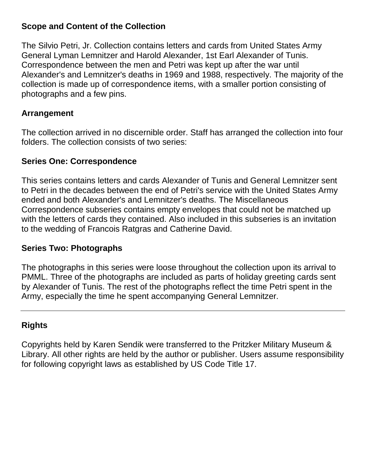#### **Scope and Content of the Collection**

The Silvio Petri, Jr. Collection contains letters and cards from United States Army General Lyman Lemnitzer and Harold Alexander, 1st Earl Alexander of Tunis. Correspondence between the men and Petri was kept up after the war until Alexander's and Lemnitzer's deaths in 1969 and 1988, respectively. The majority of the collection is made up of correspondence items, with a smaller portion consisting of photographs and a few pins.

#### **Arrangement**

The collection arrived in no discernible order. Staff has arranged the collection into four folders. The collection consists of two series:

#### **Series One: Correspondence**

This series contains letters and cards Alexander of Tunis and General Lemnitzer sent to Petri in the decades between the end of Petri's service with the United States Army ended and both Alexander's and Lemnitzer's deaths. The Miscellaneous Correspondence subseries contains empty envelopes that could not be matched up with the letters of cards they contained. Also included in this subseries is an invitation to the wedding of Francois Ratgras and Catherine David.

#### **Series Two: Photographs**

The photographs in this series were loose throughout the collection upon its arrival to PMML. Three of the photographs are included as parts of holiday greeting cards sent by Alexander of Tunis. The rest of the photographs reflect the time Petri spent in the Army, especially the time he spent accompanying General Lemnitzer.

## **Rights**

Copyrights held by Karen Sendik were transferred to the Pritzker Military Museum & Library. All other rights are held by the author or publisher. Users assume responsibility for following copyright laws as established by US Code Title 17.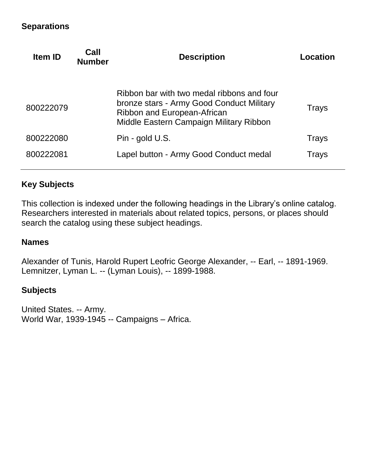#### **Separations**

| <b>Item ID</b> | Call<br><b>Number</b> | <b>Description</b>                                                                                                                                                | Location |
|----------------|-----------------------|-------------------------------------------------------------------------------------------------------------------------------------------------------------------|----------|
| 800222079      |                       | Ribbon bar with two medal ribbons and four<br>bronze stars - Army Good Conduct Military<br>Ribbon and European-African<br>Middle Eastern Campaign Military Ribbon | Trays    |
| 800222080      |                       | Pin - gold U.S.                                                                                                                                                   | Trays    |
| 800222081      |                       | Lapel button - Army Good Conduct medal                                                                                                                            | Trays    |
|                |                       |                                                                                                                                                                   |          |

## **Key Subjects**

This collection is indexed under the following headings in the Library's online catalog. Researchers interested in materials about related topics, persons, or places should search the catalog using these subject headings.

#### **Names**

Alexander of Tunis, Harold Rupert Leofric George Alexander, -- Earl, -- 1891-1969. Lemnitzer, Lyman L. -- (Lyman Louis), -- 1899-1988.

#### **Subjects**

United States. -- Army. World War, 1939-1945 -- Campaigns – Africa.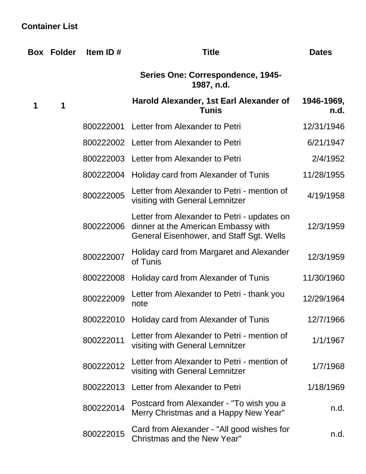## **Container List**

| Box | <b>Folder</b> | Item ID#  | <b>Title</b>                                                                                                                   | <b>Dates</b>       |
|-----|---------------|-----------|--------------------------------------------------------------------------------------------------------------------------------|--------------------|
|     |               |           | Series One: Correspondence, 1945-<br>1987, n.d.                                                                                |                    |
| 1   | 1             |           | Harold Alexander, 1st Earl Alexander of<br><b>Tunis</b>                                                                        | 1946-1969,<br>n.d. |
|     |               |           | 800222001 Letter from Alexander to Petri                                                                                       | 12/31/1946         |
|     |               |           | 800222002 Letter from Alexander to Petri                                                                                       | 6/21/1947          |
|     |               |           | 800222003 Letter from Alexander to Petri                                                                                       | 2/4/1952           |
|     |               |           | 800222004 Holiday card from Alexander of Tunis                                                                                 | 11/28/1955         |
|     |               | 800222005 | Letter from Alexander to Petri - mention of<br>visiting with General Lemnitzer                                                 | 4/19/1958          |
|     |               | 800222006 | Letter from Alexander to Petri - updates on<br>dinner at the American Embassy with<br>General Eisenhower, and Staff Sgt. Wells | 12/3/1959          |
|     |               | 800222007 | Holiday card from Margaret and Alexander<br>of Tunis                                                                           | 12/3/1959          |
|     |               | 800222008 | Holiday card from Alexander of Tunis                                                                                           | 11/30/1960         |
|     |               | 800222009 | Letter from Alexander to Petri - thank you<br>note                                                                             | 12/29/1964         |
|     |               |           | 800222010 Holiday card from Alexander of Tunis                                                                                 | 12/7/1966          |
|     |               | 800222011 | Letter from Alexander to Petri - mention of<br>visiting with General Lemnitzer                                                 | 1/1/1967           |
|     |               | 800222012 | Letter from Alexander to Petri - mention of<br>visiting with General Lemnitzer                                                 | 1/7/1968           |
|     |               | 800222013 | Letter from Alexander to Petri                                                                                                 | 1/18/1969          |
|     |               | 800222014 | Postcard from Alexander - "To wish you a<br>Merry Christmas and a Happy New Year"                                              | n.d.               |
|     |               | 800222015 | Card from Alexander - "All good wishes for<br>Christmas and the New Year"                                                      | n.d.               |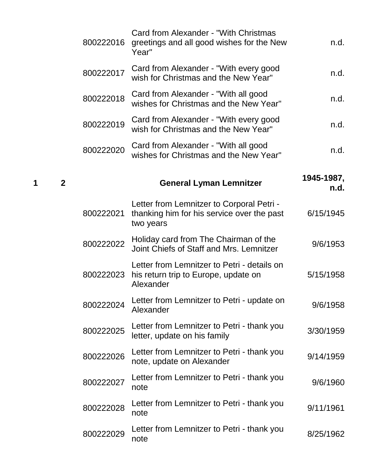| n.d.               | Card from Alexander - "With Christmas<br>greetings and all good wishes for the New<br>Year"          | 800222016 |                |   |
|--------------------|------------------------------------------------------------------------------------------------------|-----------|----------------|---|
| n.d.               | Card from Alexander - "With every good<br>wish for Christmas and the New Year"                       | 800222017 |                |   |
| n.d.               | Card from Alexander - "With all good<br>wishes for Christmas and the New Year"                       | 800222018 |                |   |
| n.d.               | Card from Alexander - "With every good<br>wish for Christmas and the New Year"                       | 800222019 |                |   |
| n.d.               | Card from Alexander - "With all good<br>wishes for Christmas and the New Year"                       | 800222020 |                |   |
| 1945-1987,<br>n.d. | <b>General Lyman Lemnitzer</b>                                                                       |           | $\overline{2}$ | 1 |
| 6/15/1945          | Letter from Lemnitzer to Corporal Petri -<br>thanking him for his service over the past<br>two years | 800222021 |                |   |
| 9/6/1953           | Holiday card from The Chairman of the<br>Joint Chiefs of Staff and Mrs. Lemnitzer                    | 800222022 |                |   |
| 5/15/1958          | Letter from Lemnitzer to Petri - details on<br>his return trip to Europe, update on<br>Alexander     | 800222023 |                |   |
| 9/6/1958           | Letter from Lemnitzer to Petri - update on<br>Alexander                                              | 800222024 |                |   |
| 3/30/1959          | Letter from Lemnitzer to Petri - thank you<br>letter, update on his family                           | 800222025 |                |   |
| 9/14/1959          | Letter from Lemnitzer to Petri - thank you<br>note, update on Alexander                              | 800222026 |                |   |
| 9/6/1960           | Letter from Lemnitzer to Petri - thank you<br>note                                                   | 800222027 |                |   |
| 9/11/1961          | Letter from Lemnitzer to Petri - thank you<br>note                                                   | 800222028 |                |   |
| 8/25/1962          | Letter from Lemnitzer to Petri - thank you<br>note                                                   | 800222029 |                |   |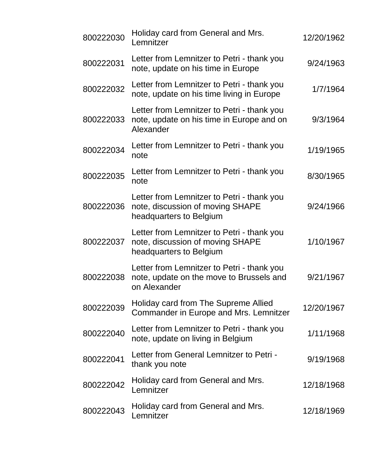| 800222030 | Holiday card from General and Mrs.<br>Lemnitzer                                                           | 12/20/1962 |
|-----------|-----------------------------------------------------------------------------------------------------------|------------|
| 800222031 | Letter from Lemnitzer to Petri - thank you<br>note, update on his time in Europe                          | 9/24/1963  |
| 800222032 | Letter from Lemnitzer to Petri - thank you<br>note, update on his time living in Europe                   | 1/7/1964   |
| 800222033 | Letter from Lemnitzer to Petri - thank you<br>note, update on his time in Europe and on<br>Alexander      | 9/3/1964   |
| 800222034 | Letter from Lemnitzer to Petri - thank you<br>note                                                        | 1/19/1965  |
| 800222035 | Letter from Lemnitzer to Petri - thank you<br>note                                                        | 8/30/1965  |
| 800222036 | Letter from Lemnitzer to Petri - thank you<br>note, discussion of moving SHAPE<br>headquarters to Belgium | 9/24/1966  |
| 800222037 | Letter from Lemnitzer to Petri - thank you<br>note, discussion of moving SHAPE<br>headquarters to Belgium | 1/10/1967  |
| 800222038 | Letter from Lemnitzer to Petri - thank you<br>note, update on the move to Brussels and<br>on Alexander    | 9/21/1967  |
| 800222039 | Holiday card from The Supreme Allied<br>Commander in Europe and Mrs. Lemnitzer                            | 12/20/1967 |
| 800222040 | Letter from Lemnitzer to Petri - thank you<br>note, update on living in Belgium                           | 1/11/1968  |
| 800222041 | Letter from General Lemnitzer to Petri -<br>thank you note                                                | 9/19/1968  |
| 800222042 | Holiday card from General and Mrs.<br>Lemnitzer                                                           | 12/18/1968 |
| 800222043 | Holiday card from General and Mrs.<br>Lemnitzer                                                           | 12/18/1969 |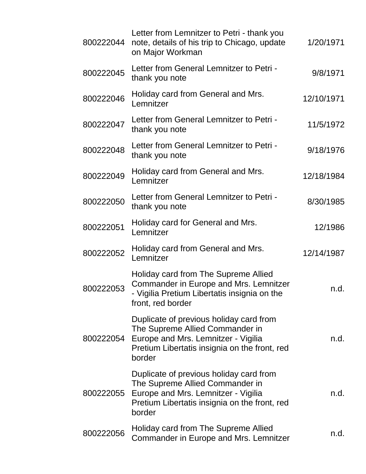| 800222044 | Letter from Lemnitzer to Petri - thank you<br>note, details of his trip to Chicago, update<br>on Major Workman                                                               | 1/20/1971  |
|-----------|------------------------------------------------------------------------------------------------------------------------------------------------------------------------------|------------|
| 800222045 | Letter from General Lemnitzer to Petri -<br>thank you note                                                                                                                   | 9/8/1971   |
| 800222046 | Holiday card from General and Mrs.<br>Lemnitzer                                                                                                                              | 12/10/1971 |
| 800222047 | Letter from General Lemnitzer to Petri -<br>thank you note                                                                                                                   | 11/5/1972  |
| 800222048 | Letter from General Lemnitzer to Petri -<br>thank you note                                                                                                                   | 9/18/1976  |
| 800222049 | Holiday card from General and Mrs.<br>Lemnitzer                                                                                                                              | 12/18/1984 |
| 800222050 | Letter from General Lemnitzer to Petri -<br>thank you note                                                                                                                   | 8/30/1985  |
| 800222051 | Holiday card for General and Mrs.<br>Lemnitzer                                                                                                                               | 12/1986    |
| 800222052 | Holiday card from General and Mrs.<br>Lemnitzer                                                                                                                              | 12/14/1987 |
| 800222053 | Holiday card from The Supreme Allied<br>Commander in Europe and Mrs. Lemnitzer<br>- Vigilia Pretium Libertatis insignia on the<br>front, red border                          | n.d.       |
| 800222054 | Duplicate of previous holiday card from<br>The Supreme Allied Commander in<br>Europe and Mrs. Lemnitzer - Vigilia<br>Pretium Libertatis insignia on the front, red<br>border | n.d.       |
| 800222055 | Duplicate of previous holiday card from<br>The Supreme Allied Commander in<br>Europe and Mrs. Lemnitzer - Vigilia<br>Pretium Libertatis insignia on the front, red<br>border | n.d.       |
| 800222056 | Holiday card from The Supreme Allied<br>Commander in Europe and Mrs. Lemnitzer                                                                                               | n.d.       |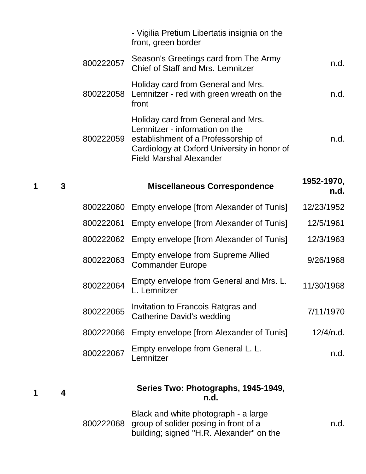|   |   |           | - Vigilia Pretium Libertatis insignia on the<br>front, green border                                                                                                                          |                    |
|---|---|-----------|----------------------------------------------------------------------------------------------------------------------------------------------------------------------------------------------|--------------------|
|   |   | 800222057 | Season's Greetings card from The Army<br><b>Chief of Staff and Mrs. Lemnitzer</b>                                                                                                            | n.d.               |
|   |   | 800222058 | Holiday card from General and Mrs.<br>Lemnitzer - red with green wreath on the<br>front                                                                                                      | n.d.               |
|   |   | 800222059 | Holiday card from General and Mrs.<br>Lemnitzer - information on the<br>establishment of a Professorship of<br>Cardiology at Oxford University in honor of<br><b>Field Marshal Alexander</b> | n.d.               |
| 1 | 3 |           | <b>Miscellaneous Correspondence</b>                                                                                                                                                          | 1952-1970,<br>n.d. |
|   |   | 800222060 | Empty envelope [from Alexander of Tunis]                                                                                                                                                     | 12/23/1952         |
|   |   | 800222061 | Empty envelope [from Alexander of Tunis]                                                                                                                                                     | 12/5/1961          |
|   |   | 800222062 | Empty envelope [from Alexander of Tunis]                                                                                                                                                     | 12/3/1963          |
|   |   | 800222063 | <b>Empty envelope from Supreme Allied</b><br><b>Commander Europe</b>                                                                                                                         | 9/26/1968          |
|   |   | 800222064 | Empty envelope from General and Mrs. L.<br>L. Lemnitzer                                                                                                                                      | 11/30/1968         |
|   |   | 800222065 | Invitation to Francois Ratgras and<br><b>Catherine David's wedding</b>                                                                                                                       | 7/11/1970          |
|   |   | 800222066 | Empty envelope [from Alexander of Tunis]                                                                                                                                                     | 12/4/n.d.          |
|   |   | 800222067 | Empty envelope from General L. L.<br>Lemnitzer                                                                                                                                               | n.d.               |
| 1 | 4 |           | Series Two: Photographs, 1945-1949,<br>n.d.                                                                                                                                                  |                    |
|   |   |           | Black and white photograph - a large<br>800222068 group of solider posing in front of a                                                                                                      | n.d.               |

building; signed "H.R. Alexander" on the

**1 4**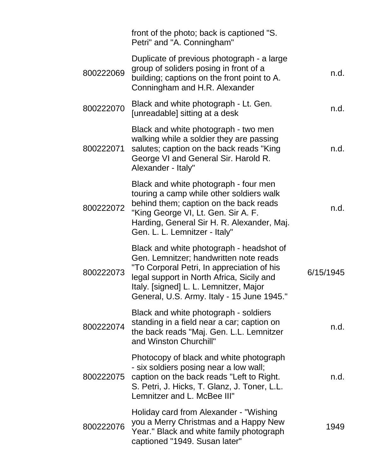|           | front of the photo; back is captioned "S.<br>Petri" and "A. Conningham"                                                                                                                                                                                               |           |
|-----------|-----------------------------------------------------------------------------------------------------------------------------------------------------------------------------------------------------------------------------------------------------------------------|-----------|
| 800222069 | Duplicate of previous photograph - a large<br>group of soliders posing in front of a<br>building; captions on the front point to A.<br>Conningham and H.R. Alexander                                                                                                  | n.d.      |
| 800222070 | Black and white photograph - Lt. Gen.<br>[unreadable] sitting at a desk                                                                                                                                                                                               | n.d.      |
| 800222071 | Black and white photograph - two men<br>walking while a soldier they are passing<br>salutes; caption on the back reads "King"<br>George VI and General Sir. Harold R.<br>Alexander - Italy"                                                                           | n.d.      |
| 800222072 | Black and white photograph - four men<br>touring a camp while other soldiers walk<br>behind them; caption on the back reads<br>"King George VI, Lt. Gen. Sir A. F.<br>Harding, General Sir H. R. Alexander, Maj.<br>Gen. L. L. Lemnitzer - Italy"                     | n.d.      |
| 800222073 | Black and white photograph - headshot of<br>Gen. Lemnitzer; handwritten note reads<br>"To Corporal Petri, In appreciation of his<br>legal support in North Africa, Sicily and<br>Italy. [signed] L. L. Lemnitzer, Major<br>General, U.S. Army. Italy - 15 June 1945." | 6/15/1945 |
| 800222074 | Black and white photograph - soldiers<br>standing in a field near a car; caption on<br>the back reads "Maj. Gen. L.L. Lemnitzer<br>and Winston Churchill"                                                                                                             | n.d.      |
| 800222075 | Photocopy of black and white photograph<br>- six soldiers posing near a low wall;<br>caption on the back reads "Left to Right.<br>S. Petri, J. Hicks, T. Glanz, J. Toner, L.L.<br>Lemnitzer and L. McBee III"                                                         | n.d.      |
| 800222076 | Holiday card from Alexander - "Wishing"<br>you a Merry Christmas and a Happy New<br>Year." Black and white family photograph<br>captioned "1949. Susan later"                                                                                                         | 1949      |